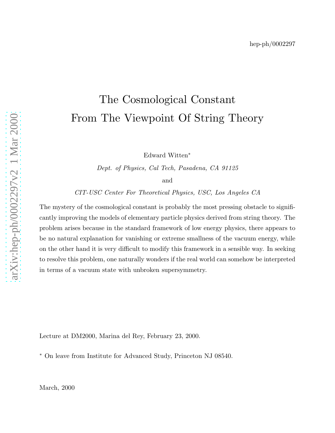## arXiv:hep-ph/0002297v2 1 Mar 2000 [arXiv:hep-ph/0002297v2 1 Mar 2000](http://arxiv.org/abs/hep-ph/0002297v2)

## The Cosmological Constant From The Viewpoint Of String Theory

Edward Witten ∗

*Dept. of Physics, Cal Tech, Pasadena, CA 91125*

and

*CIT-USC Center For Theoretical Physics, USC, Los Angeles CA*

The mystery of the cosmological constant is probably the most pressing obstacle to significantly improving the models of elementary particle physics derived from string theory. The problem arises because in the standard framework of low energy physics, there appears to be no natural explanation for vanishing or extreme smallness of the vacuum energy, while on the other hand it is very difficult to modify this framework in a sensible way. In seeking to resolve this problem, one naturally wonders if the real world can somehow be interpreted in terms of a vacuum state with unbroken supersymmetry.

Lecture at DM2000, Marina del Rey, February 23, 2000.

<sup>∗</sup> On leave from Institute for Advanced Study, Princeton NJ 08540.

March, 2000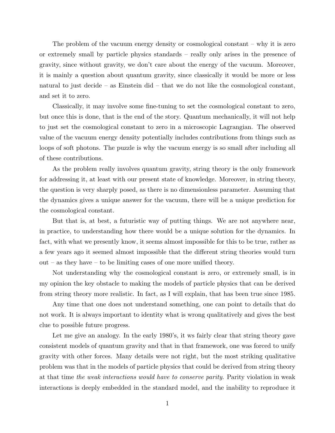The problem of the vacuum energy density or cosmological constant – why it is zero or extremely small by particle physics standards – really only arises in the presence of gravity, since without gravity, we don't care about the energy of the vacuum. Moreover, it is mainly a question about quantum gravity, since classically it would be more or less natural to just decide – as Einstein did – that we do not like the cosmological constant, and set it to zero.

Classically, it may involve some fine-tuning to set the cosmological constant to zero, but once this is done, that is the end of the story. Quantum mechanically, it will not help to just set the cosmological constant to zero in a microscopic Lagrangian. The observed value of the vacuum energy density potentially includes contributions from things such as loops of soft photons. The puzzle is why the vacuum energy is so small after including all of these contributions.

As the problem really involves quantum gravity, string theory is the only framework for addressing it, at least with our present state of knowledge. Moreover, in string theory, the question is very sharply posed, as there is no dimensionless parameter. Assuming that the dynamics gives a unique answer for the vacuum, there will be a unique prediction for the cosmological constant.

But that is, at best, a futuristic way of putting things. We are not anywhere near, in practice, to understanding how there would be a unique solution for the dynamics. In fact, with what we presently know, it seems almost impossible for this to be true, rather as a few years ago it seemed almost impossible that the different string theories would turn out – as they have – to be limiting cases of one more unified theory.

Not understanding why the cosmological constant is zero, or extremely small, is in my opinion the key obstacle to making the models of particle physics that can be derived from string theory more realistic. In fact, as I will explain, that has been true since 1985.

Any time that one does not understand something, one can point to details that do not work. It is always important to identity what is wrong qualitatively and gives the best clue to possible future progress.

Let me give an analogy. In the early 1980's, it ws fairly clear that string theory gave consistent models of quantum gravity and that in that framework, one was forced to unify gravity with other forces. Many details were not right, but the most striking qualitative problem was that in the models of particle physics that could be derived from string theory at that time *the weak interactions would have to conserve parity*. Parity violation in weak interactions is deeply embedded in the standard model, and the inability to reproduce it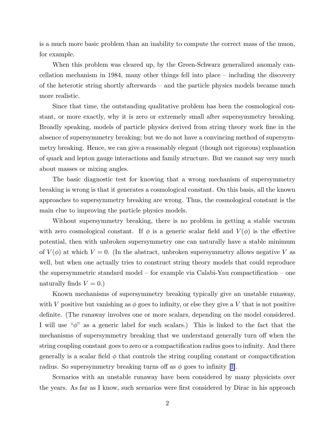is a much more basic problem than an inability to compute the correct mass of the muon, for example.

When this problem was cleared up, by the Green-Schwarz generalized anomaly cancellation mechanism in 1984, many other things fell into place – including the discovery of the heterotic string shortly afterwards – and the particle physics models became much more realistic.

Since that time, the outstanding qualitative problem has been the cosmological constant, or more exactly, why it is zero or extremely small after supersymmetry breaking. Broadly speaking, models of particle physics derived from string theory work fine in the absence of supersymmetry breaking; but we do not have a convincing method of supersymmetry breaking. Hence, we can give a reasonably elegant (though not rigorous) explanation of quark and lepton gauge interactions and family structure. But we cannot say very much about masses or mixing angles.

The basic diagnostic test for knowing that a wrong mechanism of supersymmetry breaking is wrong is that it generates a cosmological constant. On this basis, all the known approaches to supersymmetry breaking are wrong. Thus, the cosmological constant is the main clue to improving the particle physics models.

Without supersymmetry breaking, there is no problem in getting a stable vacuum with zero cosmological constant. If  $\phi$  is a generic scalar field and  $V(\phi)$  is the effective potential, then with unbroken supersymmetry one can naturally have a stable minimum of  $V(\phi)$  at which  $V=0$ . (In the abstract, unbroken supersymmetry allows negative V as well, but when one actually tries to construct string theory models that could reproduce the supersymmetric standard model – for example via Calabi-Yau compactification – one naturally finds  $V = 0.$ 

Known mechanisms of supersymmetry breaking typically give an unstable runaway, with V positive but vanishing as  $\phi$  goes to infinity, or else they give a V that is not positive definite. (The runaway involves one or more scalars, depending on the model considered. I will use " $\phi$ " as a generic label for such scalars.) This is linked to the fact that the mechanisms of supersymmetry breaking that we understand generally turn off when the string coupling constant goes to zero or a compactification radius goes to infinity. And there generally is a scalar field  $\phi$  that controls the string coupling constant or compactification radius.So supersymmetry breaking turns off as  $\phi$  goes to infinity [[1\]](#page-12-0).

Scenarios with an unstable runaway have been considered by many physicists over the years. As far as I know, such scenarios were first considered by Dirac in his approach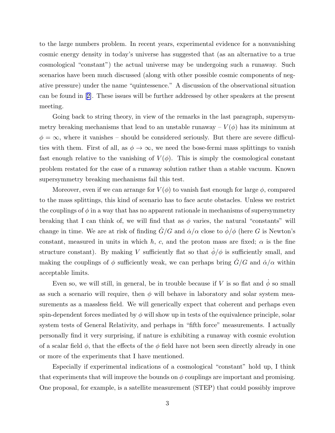to the large numbers problem. In recent years, experimental evidence for a nonvanishing cosmic energy density in today's universe has suggested that (as an alternative to a true cosmological "constant") the actual universe may be undergoing such a runaway. Such scenarios have been much discussed (along with other possible cosmic components of negative pressure) under the name "quintessence." A discussion of the observational situation can be found in[[2\]](#page-12-0). These issues will be further addressed by other speakers at the present meeting.

Going back to string theory, in view of the remarks in the last paragraph, supersymmetry breaking mechanisms that lead to an unstable runaway  $-V(\phi)$  has its minimum at  $\phi = \infty$ , where it vanishes – should be considered seriously. But there are severe difficulties with them. First of all, as  $\phi \to \infty$ , we need the bose-fermi mass splittings to vanish fast enough relative to the vanishing of  $V(\phi)$ . This is simply the cosmological constant problem restated for the case of a runaway solution rather than a stable vacuum. Known supersymmetry breaking mechanisms fail this test.

Moreover, even if we can arrange for  $V(\phi)$  to vanish fast enough for large  $\phi$ , compared to the mass splittings, this kind of scenario has to face acute obstacles. Unless we restrict the couplings of  $\phi$  in a way that has no apparent rationale in mechanisms of supersymmetry breaking that I can think of, we will find that as  $\phi$  varies, the natural "constants" will change in time. We are at risk of finding  $G/G$  and  $\alpha/\alpha$  close to  $\phi/\phi$  (here G is Newton's constant, measured in units in which  $\hbar$ , c, and the proton mass are fixed;  $\alpha$  is the fine structure constant). By making V sufficiently flat so that  $\dot{\phi}/\phi$  is sufficiently small, and making the couplings of  $\phi$  sufficiently weak, we can perhaps bring  $\dot{G}/G$  and  $\dot{\alpha}/\alpha$  within acceptable limits.

Even so, we will still, in general, be in trouble because if V is so flat and  $\dot{\phi}$  so small as such a scenario will require, then  $\phi$  will behave in laboratory and solar system measurements as a massless field. We will generically expect that coherent and perhaps even spin-dependent forces mediated by  $\phi$  will show up in tests of the equivalence principle, solar system tests of General Relativity, and perhaps in "fifth force" measurements. I actually personally find it very surprising, if nature is exhibiting a runaway with cosmic evolution of a scalar field  $\phi$ , that the effects of the  $\phi$  field have not been seen directly already in one or more of the experiments that I have mentioned.

Especially if experimental indications of a cosmological "constant" hold up, I think that experiments that will improve the bounds on  $\phi$  couplings are important and promising. One proposal, for example, is a satellite measurement (STEP) that could possibly improve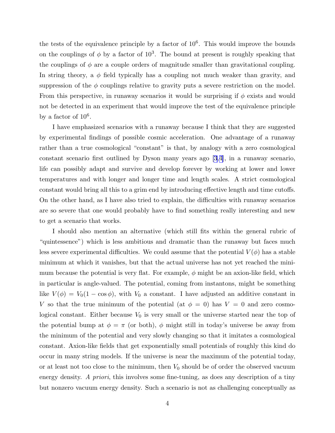the tests of the equivalence principle by a factor of  $10<sup>6</sup>$ . This would improve the bounds on the couplings of  $\phi$  by a factor of 10<sup>3</sup>. The bound at present is roughly speaking that the couplings of  $\phi$  are a couple orders of magnitude smaller than gravitational coupling. In string theory, a  $\phi$  field typically has a coupling not much weaker than gravity, and suppression of the  $\phi$  couplings relative to gravity puts a severe restriction on the model. From this perspective, in runaway scenarios it would be surprising if  $\phi$  exists and would not be detected in an experiment that would improve the test of the equivalence principle by a factor of  $10^6$ .

I have emphasized scenarios with a runaway because I think that they are suggested by experimental findings of possible cosmic acceleration. One advantage of a runaway rather than a true cosmological "constant" is that, by analogy with a zero cosmological constant scenario first outlined by Dyson many years ago [\[3](#page-12-0),[4\]](#page-12-0), in a runaway scenario, life can possibly adapt and survive and develop forever by working at lower and lower temperatures and with longer and longer time and length scales. A strict cosmological constant would bring all this to a grim end by introducing effective length and time cutoffs. On the other hand, as I have also tried to explain, the difficulties with runaway scenarios are so severe that one would probably have to find something really interesting and new to get a scenario that works.

I should also mention an alternative (which still fits within the general rubric of "quintessence") which is less ambitious and dramatic than the runaway but faces much less severe experimental difficulties. We could assume that the potential  $V(\phi)$  has a stable minimum at which it vanishes, but that the actual universe has not yet reached the minimum because the potential is very flat. For example,  $\phi$  might be an axion-like field, which in particular is angle-valued. The potential, coming from instantons, might be something like  $V(\phi) = V_0(1 - \cos \phi)$ , with  $V_0$  a constant. I have adjusted an additive constant in V so that the true minimum of the potential (at  $\phi = 0$ ) has  $V = 0$  and zero cosmological constant. Either because  $V_0$  is very small or the universe started near the top of the potential bump at  $\phi = \pi$  (or both),  $\phi$  might still in today's universe be away from the minimum of the potential and very slowly changing so that it imitates a cosmological constant. Axion-like fields that get exponentially small potentials of roughly this kind do occur in many string models. If the universe is near the maximum of the potential today, or at least not too close to the minimum, then  $V_0$  should be of order the observed vacuum energy density. *A priori*, this involves some fine-tuning, as does any description of a tiny but nonzero vacuum energy density. Such a scenario is not as challenging conceptually as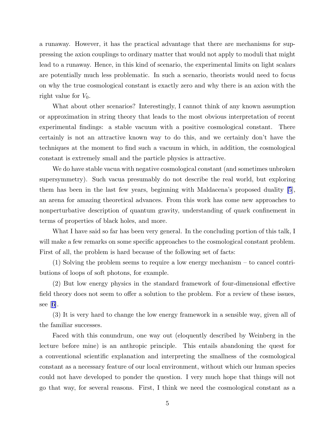a runaway. However, it has the practical advantage that there are mechanisms for suppressing the axion couplings to ordinary matter that would not apply to moduli that might lead to a runaway. Hence, in this kind of scenario, the experimental limits on light scalars are potentially much less problematic. In such a scenario, theorists would need to focus on why the true cosmological constant is exactly zero and why there is an axion with the right value for  $V_0$ .

What about other scenarios? Interestingly, I cannot think of any known assumption or approximation in string theory that leads to the most obvious interpretation of recent experimental findings: a stable vacuum with a positive cosmological constant. There certainly is not an attractive known way to do this, and we certainly don't have the techniques at the moment to find such a vacuum in which, in addition, the cosmological constant is extremely small and the particle physics is attractive.

We do have stable vacua with negative cosmological constant (and sometimes unbroken supersymmetry). Such vacua presumably do not describe the real world, but exploring them has been in the last few years, beginning with Maldacena's proposed duality [\[5](#page-12-0)], an arena for amazing theoretical advances. From this work has come new approaches to nonperturbative description of quantum gravity, understanding of quark confinement in terms of properties of black holes, and more.

What I have said so far has been very general. In the concluding portion of this talk, I will make a few remarks on some specific approaches to the cosmological constant problem. First of all, the problem is hard because of the following set of facts:

(1) Solving the problem seems to require a low energy mechanism – to cancel contributions of loops of soft photons, for example.

(2) But low energy physics in the standard framework of four-dimensional effective field theory does not seem to offer a solution to the problem. For a review of these issues, see[[6\]](#page-12-0).

(3) It is very hard to change the low energy framework in a sensible way, given all of the familiar successes.

Faced with this conundrum, one way out (eloquently described by Weinberg in the lecture before mine) is an anthropic principle. This entails abandoning the quest for a conventional scientific explanation and interpreting the smallness of the cosmological constant as a necessary feature of our local environment, without which our human species could not have developed to ponder the question. I very much hope that things will not go that way, for several reasons. First, I think we need the cosmological constant as a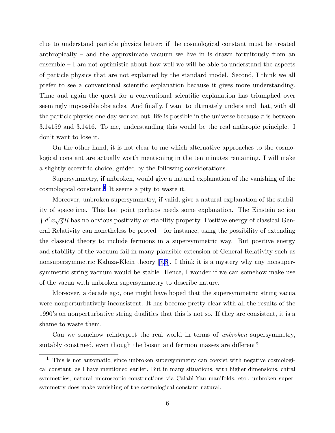clue to understand particle physics better; if the cosmological constant must be treated anthropically – and the approximate vacuum we live in is drawn fortuitously from an ensemble  $-I$  am not optimistic about how well we will be able to understand the aspects of particle physics that are not explained by the standard model. Second, I think we all prefer to see a conventional scientific explanation because it gives more understanding. Time and again the quest for a conventional scientific explanation has triumphed over seemingly impossible obstacles. And finally, I want to ultimately understand that, with all the particle physics one day worked out, life is possible in the universe because  $\pi$  is between 3.14159 and 3.1416. To me, understanding this would be the real anthropic principle. I don't want to lose it.

On the other hand, it is not clear to me which alternative approaches to the cosmological constant are actually worth mentioning in the ten minutes remaining. I will make a slightly eccentric choice, guided by the following considerations.

Supersymmetry, if unbroken, would give a natural explanation of the vanishing of the cosmological constant.<sup>1</sup> It seems a pity to waste it.

Moreover, unbroken supersymmetry, if valid, give a natural explanation of the stability of spacetime. This last point perhaps needs some explanation. The Einstein action  $\int d^4x\sqrt{g}R$  has no obvious positivity or stability property. Positive energy of classical General Relativity can nonetheless be proved – for instance, using the possibility of extending the classical theory to include fermions in a supersymmetric way. But positive energy and stability of the vacuum fail in many plausible extension of General Relativity such as nonsupersymmetric Kaluza-Klein theory[[7,8](#page-12-0)]. I think it is a mystery why any nonsupersymmetric string vacuum would be stable. Hence, I wonder if we can somehow make use of the vacua with unbroken supersymmetry to describe nature.

Moreover, a decade ago, one might have hoped that the supersymmetric string vacua were nonperturbatively inconsistent. It has become pretty clear with all the results of the 1990's on nonperturbative string dualities that this is not so. If they are consistent, it is a shame to waste them.

Can we somehow reinterpret the real world in terms of *unbroken* supersymmetry, suitably construed, even though the boson and fermion masses are different?

 $1$ . This is not automatic, since unbroken supersymmetry can coexist with negative cosmological constant, as I have mentioned earlier. But in many situations, with higher dimensions, chiral symmetries, natural microscopic constructions via Calabi-Yau manifolds, etc., unbroken supersymmetry does make vanishing of the cosmological constant natural.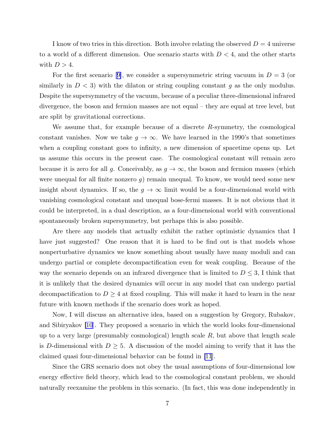I know of two tries in this direction. Both involve relating the observed  $D = 4$  universe to a world of a different dimension. One scenario starts with  $D < 4$ , and the other starts with  $D > 4$ .

Forthe first scenario [[9\]](#page-12-0), we consider a supersymmetric string vacuum in  $D = 3$  (or similarly in  $D < 3$ ) with the dilaton or string coupling constant g as the only modulus. Despite the supersymmetry of the vacuum, because of a peculiar three-dimensional infrared divergence, the boson and fermion masses are not equal – they are equal at tree level, but are split by gravitational corrections.

We assume that, for example because of a discrete  $R$ -symmetry, the cosmological constant vanishes. Now we take  $g \to \infty$ . We have learned in the 1990's that sometimes when a coupling constant goes to infinity, a new dimension of spacetime opens up. Let us assume this occurs in the present case. The cosmological constant will remain zero because it is zero for all g. Conceivably, as  $g \to \infty$ , the boson and fermion masses (which were unequal for all finite nonzero  $g$ ) remain unequal. To know, we would need some new insight about dynamics. If so, the  $g \to \infty$  limit would be a four-dimensional world with vanishing cosmological constant and unequal bose-fermi masses. It is not obvious that it could be interpreted, in a dual description, as a four-dimensional world with conventional spontaneously broken supersymmetry, but perhaps this is also possible.

Are there any models that actually exhibit the rather optimistic dynamics that I have just suggested? One reason that it is hard to be find out is that models whose nonperturbative dynamics we know something about usually have many moduli and can undergo partial or complete decompactification even for weak coupling. Because of the way the scenario depends on an infrared divergence that is limited to  $D \leq 3$ , I think that it is unlikely that the desired dynamics will occur in any model that can undergo partial decompactification to  $D \geq 4$  at fixed coupling. This will make it hard to learn in the near future with known methods if the scenario does work as hoped.

Now, I will discuss an alternative idea, based on a suggestion by Gregory, Rubakov, and Sibiryakov [\[10](#page-12-0)]. They proposed a scenario in which the world looks four-dimensional up to a very large (presumably cosmological) length scale  $R$ , but above that length scale is D-dimensional with  $D \geq 5$ . A discussion of the model aiming to verify that it has the claimed quasi four-dimensional behavior can be found in [\[11](#page-12-0)].

Since the GRS scenario does not obey the usual assumptions of four-dimensional low energy effective field theory, which lead to the cosmological constant problem, we should naturally reexamine the problem in this scenario. (In fact, this was done independently in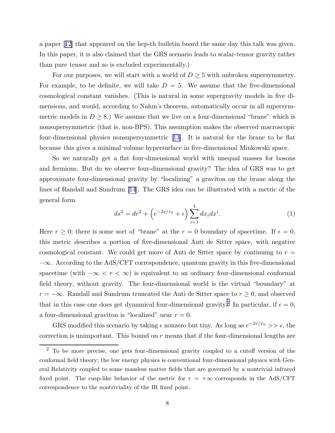<span id="page-8-0"></span>a paper[[12\]](#page-12-0) that appeared on the hep-th bulletin board the same day this talk was given. In this paper, it is also claimed that the GRS scenario leads to scalar-tensor gravity rather than pure tensor and so is excluded experimentally.)

For our purposes, we will start with a world of  $D \geq 5$  with unbroken supersymmetry. For example, to be definite, we will take  $D = 5$ . We assume that the five-dimensional cosmological constant vanishes. (This is natural in some supergravity models in five dimensions, and would, according to Nahm's theorem, automatically occur in all supersymmetric models in  $D \geq 8$ .) We assume that we live on a four-dimensional "brane" which is nonsupersymmetric (that is, non-BPS). This assumption makes the observed macroscopic four-dimensional physics nonsupersymmetric[[13\]](#page-12-0). It is natural for the brane to be flat because this gives a minimal volume hypersurface in five-dimensional Minkowski space.

So we naturally get a flat four-dimensional world with unequal masses for bosons and fermions. But do we observe four-dimensional gravity? The idea of GRS was to get approximate four-dimensional gravity by "localizing" a graviton on the brane along the lines of Randall and Sundrum [\[14](#page-12-0)]. The GRS idea can be illustrated with a metric of the general form

$$
ds^{2} = dr^{2} + \left(e^{-2r/r_{0}} + \epsilon\right) \sum_{i=1}^{4} dx_{i} dx^{i}.
$$
 (1)

Here  $r \geq 0$ ; there is some sort of "brane" at the  $r = 0$  boundary of spacetime. If  $\epsilon = 0$ , this metric describes a portion of five-dimensional Anti de Sitter space, with negative cosmological constant. We could get more of Anti de Sitter space by continuing to  $r =$  $-\infty$ . According to the AdS/CFT correspondence, quantum gravity in this five-dimensional spacetime (with  $-\infty < r < \infty$ ) is equivalent to an ordinary four-dimensional conformal field theory, without gravity. The four-dimensional world is the virtual "boundary" at  $r = -\infty$ . Randall and Sundrum truncated the Anti de Sitter space to  $r \geq 0$ , and observed that in this case one does get dynamical four-dimensional gravity.<sup>2</sup> In particular, if  $\epsilon = 0$ , a four-dimensional graviton is "localized" near  $r = 0$ .

GRS modified this scenario by taking  $\epsilon$  nonzero but tiny. As long as  $e^{-2r/r_0} >> \epsilon$ , the correction is unimportant. This bound on  $r$  means that if the four-dimensional lengths are

<sup>2</sup> To be more precise, one gets four-dimensional gravity coupled to a cutoff version of the conformal field theory; the low energy physics is conventional four-dimensional physics with General Relativity coupled to some massless matter fields that are governed by a nontrivial infrared fixed point. The cusp-like behavior of the metric for  $r = +\infty$  corresponds in the AdS/CFT correspondence to the nontriviality of the IR fixed point.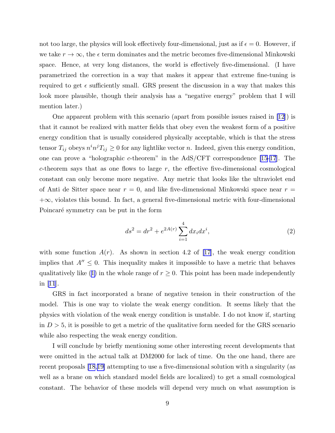not too large, the physics will look effectively four-dimensional, just as if  $\epsilon = 0$ . However, if we take  $r \to \infty$ , the  $\epsilon$  term dominates and the metric becomes five-dimensional Minkowski space. Hence, at very long distances, the world is effectively five-dimensional. (I have parametrized the correction in a way that makes it appear that extreme fine-tuning is required to get  $\epsilon$  sufficiently small. GRS present the discussion in a way that makes this look more plausible, though their analysis has a "negative energy" problem that I will mention later.)

One apparent problem with this scenario (apart from possible issues raised in [\[12](#page-12-0)]) is that it cannot be realized with matter fields that obey even the weakest form of a positive energy condition that is usually considered physically acceptable, which is that the stress tensor  $T_{ij}$  obeys  $n^i n^j T_{ij} \geq 0$  for any lightlike vector n. Indeed, given this energy condition, one can prove a "holographic c-theorem" in the AdS/CFT correspondence [\[15-17](#page-12-0)]. The  $c$ -theorem says that as one flows to large  $r$ , the effective five-dimensional cosmological constant can only become more negative. Any metric that looks like the ultraviolet end of Anti de Sitter space near  $r = 0$ , and like five-dimensional Minkowski space near  $r =$  $+\infty$ , violates this bound. In fact, a general five-dimensional metric with four-dimensional Poincaré symmetry can be put in the form

$$
ds^2 = dr^2 + e^{2A(r)} \sum_{i=1}^4 dx_i dx^i,
$$
 (2)

with some function  $A(r)$ . As shown in section 4.2 of [\[17](#page-12-0)], the weak energy condition implies that  $A'' \leq 0$ . This inequality makes it impossible to have a metric that behaves qualitativelylike ([1\)](#page-8-0) in the whole range of  $r \geq 0$ . This point has been made independently in [\[11](#page-12-0)].

GRS in fact incorporated a brane of negative tension in their construction of the model. This is one way to violate the weak energy condition. It seems likely that the physics with violation of the weak energy condition is unstable. I do not know if, starting in  $D > 5$ , it is possible to get a metric of the qualitative form needed for the GRS scenario while also respecting the weak energy condition.

I will conclude by briefly mentioning some other interesting recent developments that were omitted in the actual talk at DM2000 for lack of time. On the one hand, there are recent proposals [\[18](#page-12-0),[19\]](#page-13-0) attempting to use a five-dimensional solution with a singularity (as well as a brane on which standard model fields are localized) to get a small cosmological constant. The behavior of these models will depend very much on what assumption is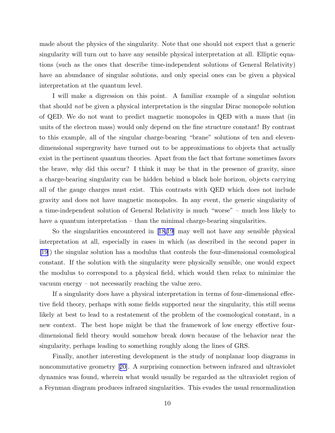made about the physics of the singularity. Note that one should not expect that a generic singularity will turn out to have any sensible physical interpretation at all. Elliptic equations (such as the ones that describe time-independent solutions of General Relativity) have an abundance of singular solutions, and only special ones can be given a physical interpretation at the quantum level.

I will make a digression on this point. A familiar example of a singular solution that should *not* be given a physical interpretation is the singular Dirac monopole solution of QED. We do not want to predict magnetic monopoles in QED with a mass that (in units of the electron mass) would only depend on the fine structure constant! By contrast to this example, all of the singular charge-bearing "brane" solutions of ten and elevendimensional supergravity have turned out to be approximations to objects that actually exist in the pertinent quantum theories. Apart from the fact that fortune sometimes favors the brave, why did this occur? I think it may be that in the presence of gravity, since a charge-bearing singularity can be hidden behind a black hole horizon, objects carrying all of the gauge charges must exist. This contrasts with QED which does not include gravity and does not have magnetic monopoles. In any event, the generic singularity of a time-independent solution of General Relativity is much "worse" – much less likely to have a quantum interpretation – than the minimal charge-bearing singularities.

So the singularities encountered in[[18,](#page-12-0)[19](#page-13-0)] may well not have any sensible physical interpretation at all, especially in cases in which (as described in the second paper in [\[19](#page-13-0)]) the singular solution has a modulus that controls the four-dimensional cosmological constant. If the solution with the singularity were physically sensible, one would expect the modulus to correspond to a physical field, which would then relax to minimize the vacuum energy – not necessarily reaching the value zero.

If a singularity does have a physical interpretation in terms of four-dimensional effective field theory, perhaps with some fields supported near the singularity, this still seems likely at best to lead to a restatement of the problem of the cosmological constant, in a new context. The best hope might be that the framework of low energy effective fourdimensional field theory would somehow break down because of the behavior near the singularity, perhaps leading to something roughly along the lines of GRS.

Finally, another interesting development is the study of nonplanar loop diagrams in noncommutative geometry[[20\]](#page-13-0). A surprising connection between infrared and ultraviolet dynamics was found, wherein what would usually be regarded as the ultraviolet region of a Feynman diagram produces infrared singularities. This evades the usual renormalization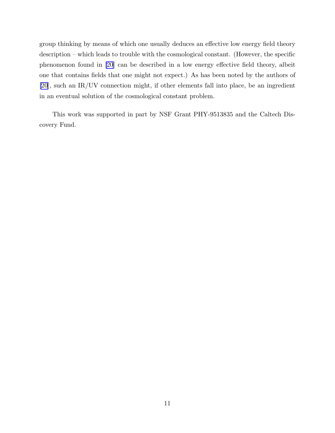group thinking by means of which one usually deduces an effective low energy field theory description – which leads to trouble with the cosmological constant. (However, the specific phenomenon found in [\[20](#page-13-0)] can be described in a low energy effective field theory, albeit one that contains fields that one might not expect.) As has been noted by the authors of [\[20](#page-13-0)], such an IR/UV connection might, if other elements fall into place, be an ingredient in an eventual solution of the cosmological constant problem.

This work was supported in part by NSF Grant PHY-9513835 and the Caltech Discovery Fund.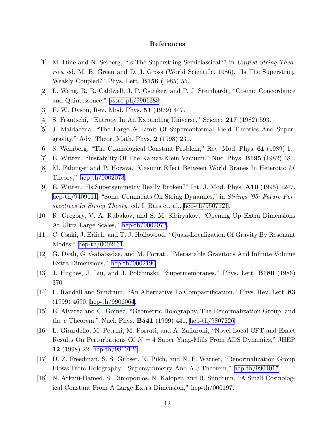## References

- <span id="page-12-0"></span>[1] M. Dine and N. Seiberg, "Is The Superstring Semiclassical?" in *Unified String Theories*, ed. M. B. Green and D. J. Gross (World Scientific, 1986), "Is The Superstring Weakly Coupled?" Phys. Lett. B156 (1985) 55.
- [2] L. Wang, R. R. Caldwell, J. P. Ostriker, and P. J. Steinhardt, "Cosmic Concordance and Quintessence," [astro-ph/9901388](http://arxiv.org/abs/astro-ph/9901388).
- [3] F. W. Dyson, Rev. Mod. Phys. 51 (1979) 447.
- [4] S. Frautschi, "Entropy In An Expanding Universe," Science 217 (1982) 593.
- [5] J. Maldacena, "The Large N Limit Of Superconformal Field Theories And Supergravity," Adv. Theor. Math. Phys. 2 (1998) 231.
- [6] S. Weinberg, "The Cosmological Constant Problem," Rev. Mod. Phys. 61 (1989) 1.
- [7] E. Witten, "Instability Of The Kaluza-Klein Vacuum," Nuc. Phys. B195 (1982) 481.
- [8] M. Fabinger and P. Horava, "Casimir Effect Between World Branes In Heterotic M Theory," [hep-th/0002073.](http://arxiv.org/abs/hep-th/0002073)
- [9] E. Witten, "Is Supersymmetry Really Broken?" Int. J. Mod. Phys. A10 (1995) 1247, [hep-th/9409111,](http://arxiv.org/abs/hep-th/9409111) "Some Comments On String Dynamics," in *Strings '95: Future Perspectives In String Theory*, ed. I. Bars et. al., [hep-th/9507121](http://arxiv.org/abs/hep-th/9507121).
- [10] R. Gregory, V. A. Rubakov, and S. M. Sibiryakov, "Opening Up Extra Dimensions At Ultra Large Scales," [hep-th/0002072](http://arxiv.org/abs/hep-th/0002072).
- [11] C. Csaki, J. Erlich, and T. J. Hollowood, "Quasi-Localization Of Gravity By Resonant Modes," [hep-th/0002161.](http://arxiv.org/abs/hep-th/0002161)
- [12] G. Dvali, G. Gababadze, and M. Porrati, "Metastable Gravitons And Infinite Volume Extra Dimensions," [hep-th/0002190](http://arxiv.org/abs/hep-th/0002190).
- [13] J. Hughes, J. Liu, and J. Polchinski, "Supermembranes," Phys. Lett. B180 (1986) 370
- [14] L. Randall and Sundrum, "An Alternative To Compactification," Phys. Rev. Lett. 83 (1999) 4690, [hep-th/9906064](http://arxiv.org/abs/hep-th/9906064).
- [15] E. Alvarez and C. Gomez, "Geometric Holography, The Renormalization Group, and the c Theorem," Nucl. Phys. **B541** (1999) 441, [hep-th/9807226](http://arxiv.org/abs/hep-th/9807226).
- [16] L. Girardello, M. Petrini, M. Porrati, and A. Zaffaroni, "Novel Local CFT and Exact Results On Perturbations Of  $N = 4$  Super Yang-Mills From ADS Dynamics," JHEP 12 (1998) 22, [hep-th/9810126.](http://arxiv.org/abs/hep-th/9810126)
- [17] D. Z. Freedman, S. S. Gubser, K. Pilch, and N. P. Warner, "Renormalization Group Flows From Holography - Supersymmetry And A c-Theorem," [hep-th/9904017.](http://arxiv.org/abs/hep-th/9904017)
- [18] N. Arkani-Hamed, S. Dimopoulos, N. Kaloper, and R. Sundrum, "A Small Cosmological Constant From A Large Extra Dimension," hep-th/000197.